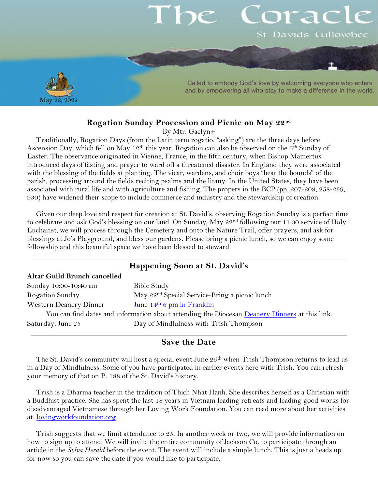# orac St Davids Cullowhee



Called to embody God's love by welcoming everyone who enters and by empowering all who stay to make a difference in the world.

#### **Rogation Sunday Procession and Picnic on May 22 nd**

By Mtr. Gaelyn+

Traditionally, Rogation Days (from the Latin term rogatio, "asking") are the three days before Ascension Day, which fell on May 12<sup>th</sup> this year. Rogation can also be observed on the 6<sup>th</sup> Sunday of Easter. The observance originated in Vienne, France, in the fifth century, when Bishop Mamertus introduced days of fasting and prayer to ward off a threatened disaster. In England they were associated with the blessing of the fields at planting. The vicar, wardens, and choir boys "beat the bounds" of the parish, processing around the fields reciting psalms and the litany. In the United States, they have been associated with rural life and with agriculture and fishing. The propers in the BCP (pp. 207-208, 258-259, 930) have widened their scope to include commerce and industry and the stewardship of creation.

Given our deep love and respect for creation at St. David's, observing Rogation Sunday is a perfect time to celebrate and ask God's blessing on our land. On Sunday, May 22<sup>nd</sup> following our 11:00 service of Holy Eucharist, we will process through the Cemetery and onto the Nature Trail, offer prayers, and ask for blessings at Jo's Playground, and bless our gardens. Please bring a picnic lunch, so we can enjoy some fellowship and this beautiful space we have been blessed to steward.

| Happening Soon at St. David's                                                                 |                                                           |
|-----------------------------------------------------------------------------------------------|-----------------------------------------------------------|
| Altar Guild Brunch cancelled                                                                  |                                                           |
| Sunday 10:00-10:40 am                                                                         | Bible Study                                               |
| Rogation Sunday                                                                               | May 22 <sup>nd</sup> Special Service-Bring a picnic lunch |
| Western Deanery Dinner                                                                        | June $14th 6$ pm in Franklin                              |
| You can find dates and information about attending the Diocesan Deanery Dinners at this link. |                                                           |
| Saturday, June 25                                                                             | Day of Mindfulness with Trish Thompson                    |

#### **Save the Date**

The St. David's community will host a special event June  $25<sup>th</sup>$  when Trish Thompson returns to lead us in a Day of Mindfulness. Some of you have participated in earlier events here with Trish. You can refresh your memory of that on P. 188 of the St. David's history.

Trish is a Dharma teacher in the tradition of Thich Nhat Hanh. She describes herself as a Christian with a Buddhist practice. She has spent the last 18 years in Vietnam leading retreats and leading good works for disadvantaged Vietnamese through her Loving Work Foundation. You can read more about her activities at: [lovingworkfoundation.org.](https://www.lovingworkfoundation.org/)

Trish suggests that we limit attendance to 25. In another week or two, we will provide information on how to sign up to attend. We will invite the entire community of Jackson Co. to participate through an article in the *Sylva Herald* before the event. The event will include a simple lunch. This is just a heads up for now so you can save the date if you would like to participate.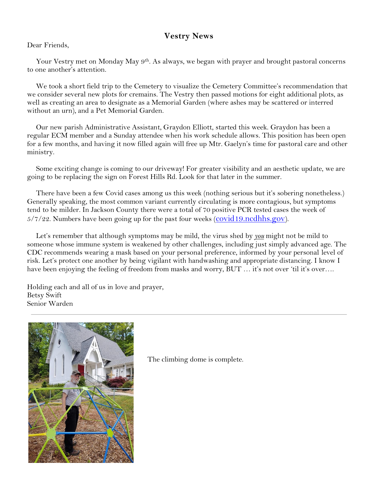### **Vestry News**

#### Dear Friends,

Your Vestry met on Monday May 9<sup>th</sup>. As always, we began with prayer and brought pastoral concerns to one another's attention.

We took a short field trip to the Cemetery to visualize the Cemetery Committee's recommendation that we consider several new plots for cremains. The Vestry then passed motions for eight additional plots, as well as creating an area to designate as a Memorial Garden (where ashes may be scattered or interred without an urn), and a Pet Memorial Garden.

Our new parish Administrative Assistant, Graydon Elliott, started this week. Graydon has been a regular ECM member and a Sunday attendee when his work schedule allows. This position has been open for a few months, and having it now filled again will free up Mtr. Gaelyn's time for pastoral care and other ministry.

Some exciting change is coming to our driveway! For greater visibility and an aesthetic update, we are going to be replacing the sign on Forest Hills Rd. Look for that later in the summer.

There have been a few Covid cases among us this week (nothing serious but it's sobering nonetheless.) Generally speaking, the most common variant currently circulating is more contagious, but symptoms tend to be milder. In Jackson County there were a total of 70 positive PCR tested cases the week of  $5/7/22$ . Numbers have been going up for the past four weeks (covid 19.ncdhhs.gov).

Let's remember that although symptoms may be mild, the virus shed by *you* might not be mild to someone whose immune system is weakened by other challenges, including just simply advanced age. The CDC recommends wearing a mask based on your personal preference, informed by your personal level of risk. Let's protect one another by being vigilant with handwashing and appropriate distancing. I know I have been enjoying the feeling of freedom from masks and worry, BUT ... it's not over 'til it's over....

Holding each and all of us in love and prayer, Betsy Swift Senior Warden



The climbing dome is complete.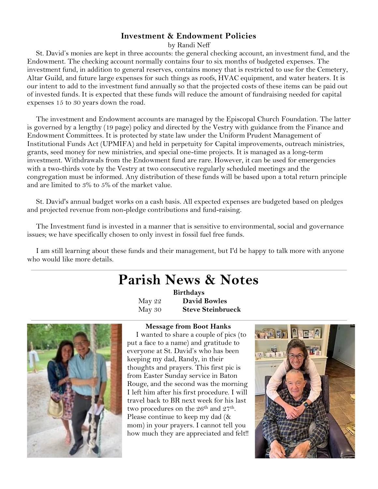#### **Investment & Endowment Policies**

by Randi Neff

St. David's monies are kept in three accounts: the general checking account, an investment fund, and the Endowment. The checking account normally contains four to six months of budgeted expenses. The investment fund, in addition to general reserves, contains money that is restricted to use for the Cemetery, Altar Guild, and future large expenses for such things as roofs, HVAC equipment, and water heaters. It is our intent to add to the investment fund annually so that the projected costs of these items can be paid out of invested funds. It is expected that these funds will reduce the amount of fundraising needed for capital expenses 15 to 30 years down the road.

The investment and Endowment accounts are managed by the Episcopal Church Foundation. The latter is governed by a lengthy (19 page) policy and directed by the Vestry with guidance from the Finance and Endowment Committees. It is protected by state law under the Uniform Prudent Management of Institutional Funds Act (UPMIFA) and held in perpetuity for Capital improvements, outreach ministries, grants, seed money for new ministries, and special one-time projects. It is managed as a long-term investment. Withdrawals from the Endowment fund are rare. However, it can be used for emergencies with a two-thirds vote by the Vestry at two consecutive regularly scheduled meetings and the congregation must be informed. Any distribution of these funds will be based upon a total return principle and are limited to 3% to 5% of the market value.

St. David's annual budget works on a cash basis. All expected expenses are budgeted based on pledges and projected revenue from non-pledge contributions and fund-raising.

The Investment fund is invested in a manner that is sensitive to environmental, social and governance issues; we have specifically chosen to only invest in fossil fuel free funds.

I am still learning about these funds and their management, but I'd be happy to talk more with anyone who would like more details.

## **Parish News & Notes**

**Birthdays** May 22 **David Bowles** May 30 **Steve Steinbrueck**



#### **Message from Boot Hanks**

I wanted to share a couple of pics (to put a face to a name) and gratitude to everyone at St. David's who has been keeping my dad, Randy, in their thoughts and prayers. This first pic is from Easter Sunday service in Baton Rouge, and the second was the morning I left him after his first procedure. I will travel back to BR next week for his last two procedures on the 26<sup>th</sup> and 27<sup>th</sup>. Please continue to keep my dad (& mom) in your prayers. I cannot tell you how much they are appreciated and felt!!

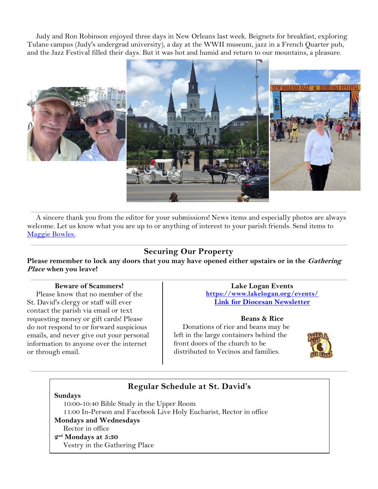Judy and Ron Robinson enjoyed three days in New Orleans last week. Beignets for breakfast, exploring Tulane campus (Judy's undergrad university), a day at the WWII museum, jazz in a French Quarter pub, and the Jazz Festival filled their days. But it was hot and humid and return to our mountains, a pleasure.



A sincere thank you from the editor for your submissions! News items and especially photos are always welcome. Let us know what you are up to or anything of interest to your parish friends. Send items to [Maggie Bowles.](mailto:magbowles@gmail.com)

## **Securing Our Property**

Please remember to lock any doors that you may have opened either upstairs or in the *Gathering* **Place when you leave!**

#### **Beware of Scammers!**

Please know that no member of the St. David's clergy or staff will ever contact the parish via email or text requesting money or gift cards! Please do not respond to or forward suspicious emails, and never give out your personal information to anyone over the internet or through email.

#### **Lake Logan Events <https://www.lakelogan.org/events/> [Link for Diocesan Newsletter](https://files.ctctusercontent.com/bcd32219001/75075db9-7c0d-488e-ad4e-ddfa7bb70a84.pdf?rdr=true)**

#### **Beans & Rice**

Donations of rice and beans may be left in the large containers behind the front doors of the church to be distributed to Vecinos and families.



## **Regular Schedule at St. David's**

**Sundays** 

10:00-10:40 Bible Study in the Upper Room 11:00 In-Person and Facebook Live Holy Eucharist, Rector in office **Mondays and Wednesdays**  Rector in office **2 nd Mondays at 5:30**  Vestry in the Gathering Place